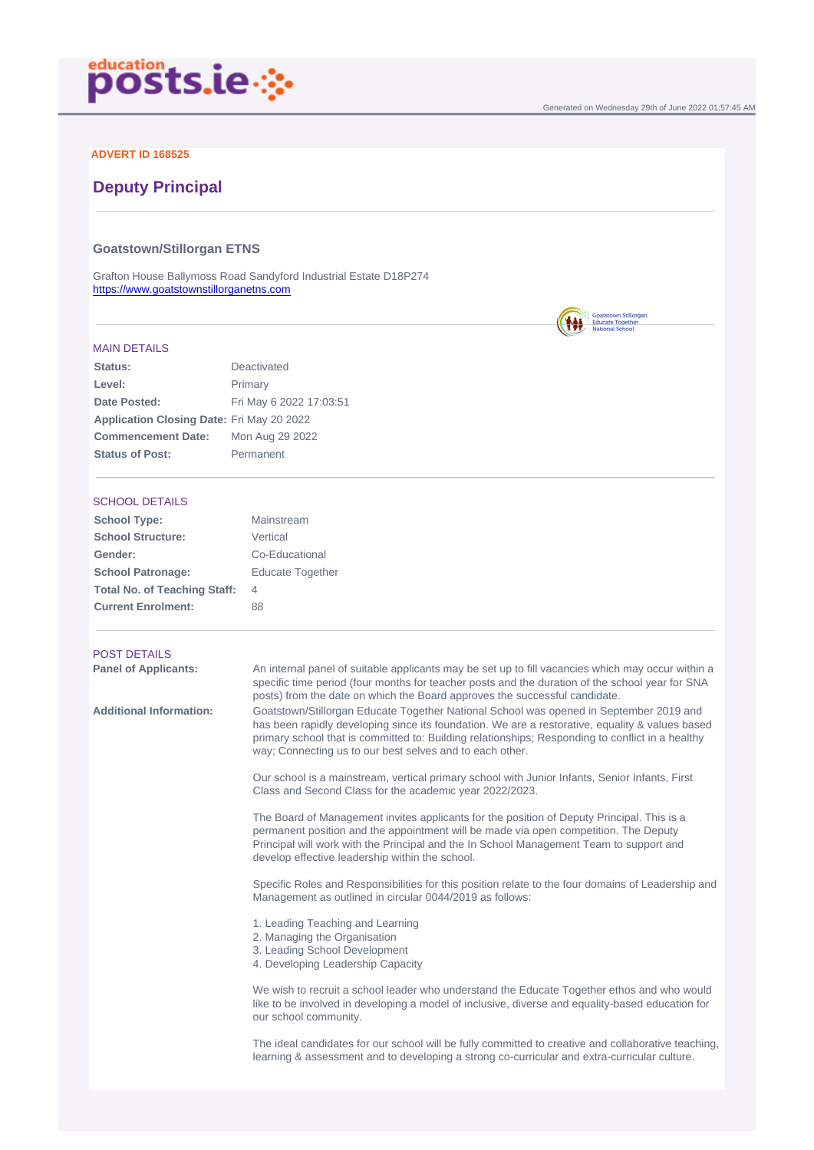# ADVERT ID 168525

# Deputy Principal

Goatstown/Stillorgan ETNS

Grafton House Ballymoss Road Sandyford Industrial Estate D18P274 <https://www.goatstownstillorganetns.com>

#### MAIN DETAILS

| Status:                   | Deactivated             |  |
|---------------------------|-------------------------|--|
| Level:                    | Primary                 |  |
| Date Posted:              | Fri May 6 2022 17:03:51 |  |
| Application Closing Date: | Fri May 20 2022         |  |
| Commencement Date:        | Mon Aug 29 2022         |  |
| Status of Post:           | Permanent               |  |

## SCHOOL DETAILS

### POST DETAILS

Panel of Applicants: An internal panel of suitable applicants may be set up to fill vacancies which may occur within a specific time period (four months for teacher posts and the duration of the school year for SNA posts) from the date on which the Board approves the successful candidate.

Additional Information: Goatstown/Stillorgan Educate Together National School was opened in September 2019 and has been rapidly developing since its foundation. We are a restorative, equality & values based primary school that is committed to: Building relationships; Responding to conflict in a healthy way; Connecting us to our best selves and to each other.

> Our school is a mainstream, vertical primary school with Junior Infants, Senior Infants, First Class and Second Class for the academic year 2022/2023.

The Board of Management invites applicants for the position of Deputy Principal. This is a permanent position and the appointment will be made via open competition. The Deputy Principal will work with the Principal and the In School Management Team to support and develop effective leadership within the school.

Specific Roles and Responsibilities for this position relate to the four domains of Leadership and Management as outlined in circular 0044/2019 as follows:

- 1. Leading Teaching and Learning
- 2. Managing the Organisation
- 3. Leading School Development
- 4. Developing Leadership Capacity

We wish to recruit a school leader who understand the Educate Together ethos and who would like to be involved in developing a model of inclusive, diverse and equality-based education for our school community.

The ideal candidates for our school will be fully committed to creative and collaborative teaching, learning & assessment and to developing a strong co-curricular and extra-curricular culture.